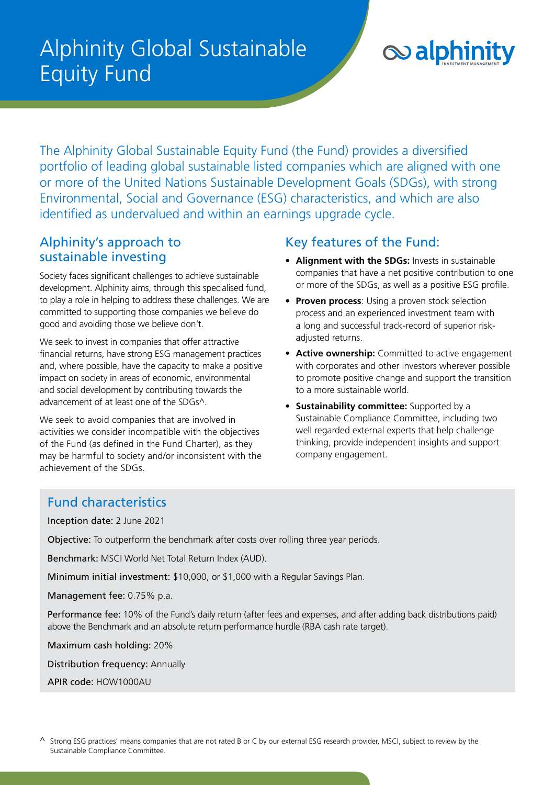# Alphinity Global Sustainable Equity Fund



The Alphinity Global Sustainable Equity Fund (the Fund) provides a diversified portfolio of leading global sustainable listed companies which are aligned with one or more of the United Nations Sustainable Development Goals (SDGs), with strong Environmental, Social and Governance (ESG) characteristics, and which are also identified as undervalued and within an earnings upgrade cycle.

### Alphinity's approach to sustainable investing

Society faces significant challenges to achieve sustainable development. Alphinity aims, through this specialised fund, to play a role in helping to address these challenges. We are committed to supporting those companies we believe do good and avoiding those we believe don't.

We seek to invest in companies that offer attractive financial returns, have strong ESG management practices and, where possible, have the capacity to make a positive impact on society in areas of economic, environmental and social development by contributing towards the advancement of at least one of the SDGs^.

We seek to avoid companies that are involved in activities we consider incompatible with the objectives of the Fund (as defined in the Fund Charter), as they may be harmful to society and/or inconsistent with the achievement of the SDGs.

### Key features of the Fund:

- **Alignment with the SDGs:** Invests in sustainable companies that have a net positive contribution to one or more of the SDGs, as well as a positive ESG profile.
- **Proven process**: Using a proven stock selection process and an experienced investment team with a long and successful track-record of superior riskadjusted returns.
- **Active ownership:** Committed to active engagement with corporates and other investors wherever possible to promote positive change and support the transition to a more sustainable world.
- **Sustainability committee:** Supported by a Sustainable Compliance Committee, including two well regarded external experts that help challenge thinking, provide independent insights and support company engagement.

### Fund characteristics

Inception date: 2 June 2021

Objective: To outperform the benchmark after costs over rolling three year periods.

Benchmark: MSCI World Net Total Return Index (AUD).

Minimum initial investment: \$10,000, or \$1,000 with a Regular Savings Plan.

Management fee: 0.75% p.a.

Performance fee: 10% of the Fund's daily return (after fees and expenses, and after adding back distributions paid) above the Benchmark and an absolute return performance hurdle (RBA cash rate target).

Maximum cash holding: 20%

Distribution frequency: Annually

APIR code: HOW1000AU

 $\wedge$  Strong ESG practices' means companies that are not rated B or C by our external ESG research provider, MSCI, subject to review by the Sustainable Compliance Committee.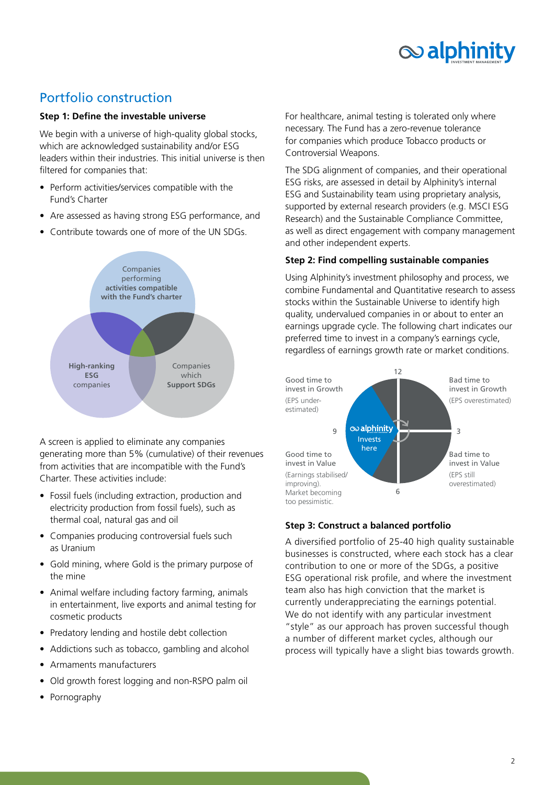

### Portfolio construction

#### **Step 1: Define the investable universe**

We begin with a universe of high-quality global stocks, which are acknowledged sustainability and/or ESG leaders within their industries. This initial universe is then filtered for companies that:

- Perform activities/services compatible with the Fund's Charter
- Are assessed as having strong ESG performance, and
- Contribute towards one of more of the UN SDGs.



A screen is applied to eliminate any companies generating more than 5% (cumulative) of their revenues from activities that are incompatible with the Fund's Charter. These activities include:

- Fossil fuels (including extraction, production and electricity production from fossil fuels), such as thermal coal, natural gas and oil
- Companies producing controversial fuels such as Uranium
- Gold mining, where Gold is the primary purpose of the mine
- Animal welfare including factory farming, animals in entertainment, live exports and animal testing for cosmetic products
- Predatory lending and hostile debt collection
- Addictions such as tobacco, gambling and alcohol
- Armaments manufacturers
- Old growth forest logging and non-RSPO palm oil
- Pornography

For healthcare, animal testing is tolerated only where necessary. The Fund has a zero-revenue tolerance for companies which produce Tobacco products or Controversial Weapons.

The SDG alignment of companies, and their operational ESG risks, are assessed in detail by Alphinity's internal ESG and Sustainability team using proprietary analysis, supported by external research providers (e.g. MSCI ESG Research) and the Sustainable Compliance Committee, as well as direct engagement with company management and other independent experts.

#### **Step 2: Find compelling sustainable companies**

Using Alphinity's investment philosophy and process, we combine Fundamental and Quantitative research to assess stocks within the Sustainable Universe to identify high quality, undervalued companies in or about to enter an earnings upgrade cycle. The following chart indicates our preferred time to invest in a company's earnings cycle, regardless of earnings growth rate or market conditions.



### **Step 3: Construct a balanced portfolio**

A diversified portfolio of 25-40 high quality sustainable businesses is constructed, where each stock has a clear contribution to one or more of the SDGs, a positive ESG operational risk profile, and where the investment team also has high conviction that the market is currently underappreciating the earnings potential. We do not identify with any particular investment "style" as our approach has proven successful though a number of different market cycles, although our process will typically have a slight bias towards growth.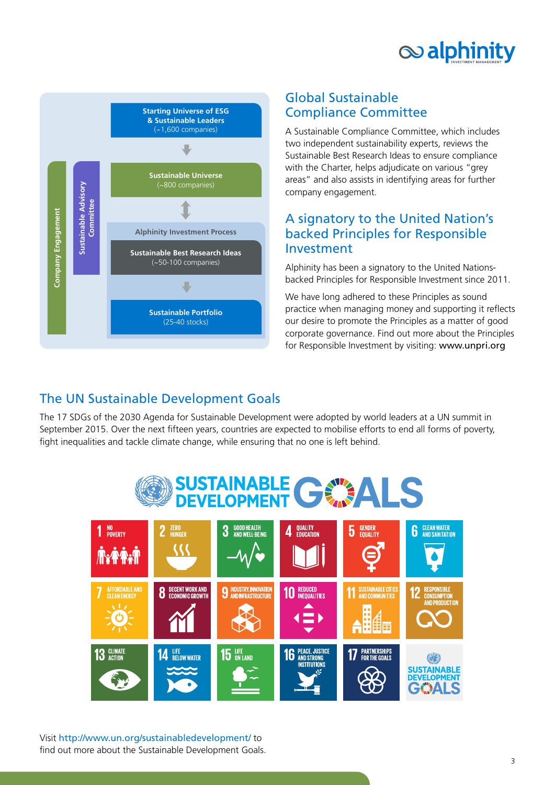



### Global Sustainable Compliance Committee

A Sustainable Compliance Committee, which includes two independent sustainability experts, reviews the Sustainable Best Research Ideas to ensure compliance with the Charter, helps adjudicate on various "grey areas" and also assists in identifying areas for further company engagement.

### A signatory to the United Nation's backed Principles for Responsible Investment

Alphinity has been a signatory to the United Nationsbacked Principles for Responsible Investment since 2011.

We have long adhered to these Principles as sound practice when managing money and supporting it reflects our desire to promote the Principles as a matter of good corporate governance. Find out more about the Principles for Responsible Investment by visiting: [www.unpri.org](http://www.unpri.org)

## The UN Sustainable Development Goals

The 17 SDGs of the 2030 Agenda for Sustainable Development were adopted by world leaders at a UN summit in September 2015. Over the next fifteen years, countries are expected to mobilise efforts to end all forms of poverty, fight inequalities and tackle climate change, while ensuring that no one is left behind.



Visit <http://www.un.org/sustainabledevelopment/> to find out more about the Sustainable Development Goals.